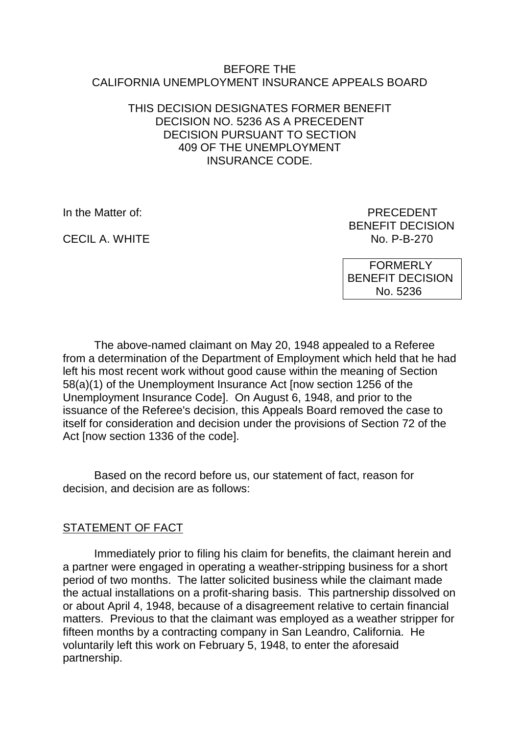#### BEFORE THE CALIFORNIA UNEMPLOYMENT INSURANCE APPEALS BOARD

#### THIS DECISION DESIGNATES FORMER BENEFIT DECISION NO. 5236 AS A PRECEDENT DECISION PURSUANT TO SECTION 409 OF THE UNEMPLOYMENT INSURANCE CODE.

CECIL A. WHITE

In the Matter of: PRECEDENT BENEFIT DECISION<br>No. P-B-270

> FORMERLY BENEFIT DECISION No. 5236

The above-named claimant on May 20, 1948 appealed to a Referee from a determination of the Department of Employment which held that he had left his most recent work without good cause within the meaning of Section 58(a)(1) of the Unemployment Insurance Act [now section 1256 of the Unemployment Insurance Code]. On August 6, 1948, and prior to the issuance of the Referee's decision, this Appeals Board removed the case to itself for consideration and decision under the provisions of Section 72 of the Act [now section 1336 of the code].

Based on the record before us, our statement of fact, reason for decision, and decision are as follows:

## STATEMENT OF FACT

Immediately prior to filing his claim for benefits, the claimant herein and a partner were engaged in operating a weather-stripping business for a short period of two months. The latter solicited business while the claimant made the actual installations on a profit-sharing basis. This partnership dissolved on or about April 4, 1948, because of a disagreement relative to certain financial matters. Previous to that the claimant was employed as a weather stripper for fifteen months by a contracting company in San Leandro, California. He voluntarily left this work on February 5, 1948, to enter the aforesaid partnership.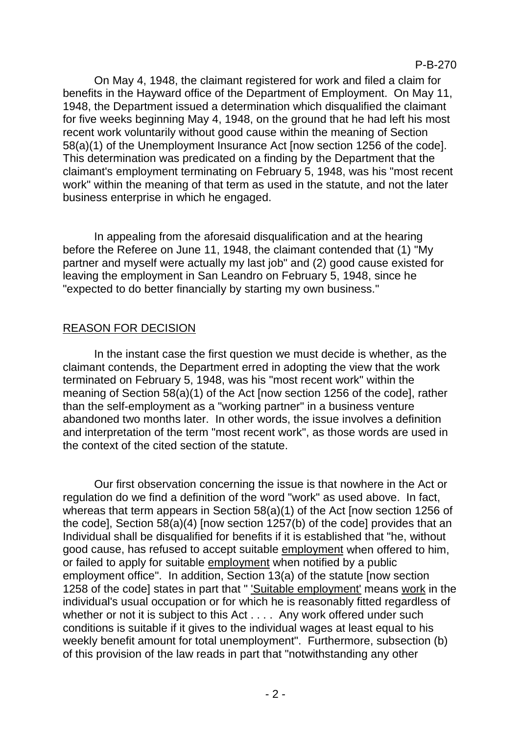On May 4, 1948, the claimant registered for work and filed a claim for benefits in the Hayward office of the Department of Employment. On May 11, 1948, the Department issued a determination which disqualified the claimant for five weeks beginning May 4, 1948, on the ground that he had left his most recent work voluntarily without good cause within the meaning of Section 58(a)(1) of the Unemployment Insurance Act [now section 1256 of the code]. This determination was predicated on a finding by the Department that the claimant's employment terminating on February 5, 1948, was his "most recent work" within the meaning of that term as used in the statute, and not the later business enterprise in which he engaged.

In appealing from the aforesaid disqualification and at the hearing before the Referee on June 11, 1948, the claimant contended that (1) "My partner and myself were actually my last job" and (2) good cause existed for leaving the employment in San Leandro on February 5, 1948, since he "expected to do better financially by starting my own business."

## REASON FOR DECISION

In the instant case the first question we must decide is whether, as the claimant contends, the Department erred in adopting the view that the work terminated on February 5, 1948, was his "most recent work" within the meaning of Section 58(a)(1) of the Act [now section 1256 of the code], rather than the self-employment as a "working partner" in a business venture abandoned two months later. In other words, the issue involves a definition and interpretation of the term "most recent work", as those words are used in the context of the cited section of the statute.

Our first observation concerning the issue is that nowhere in the Act or regulation do we find a definition of the word "work" as used above. In fact, whereas that term appears in Section 58(a)(1) of the Act [now section 1256 of the code], Section 58(a)(4) [now section 1257(b) of the code] provides that an Individual shall be disqualified for benefits if it is established that "he, without good cause, has refused to accept suitable employment when offered to him, or failed to apply for suitable employment when notified by a public employment office". In addition, Section 13(a) of the statute [now section 1258 of the code] states in part that " 'Suitable employment' means work in the individual's usual occupation or for which he is reasonably fitted regardless of whether or not it is subject to this Act . . . . Any work offered under such conditions is suitable if it gives to the individual wages at least equal to his weekly benefit amount for total unemployment". Furthermore, subsection (b) of this provision of the law reads in part that "notwithstanding any other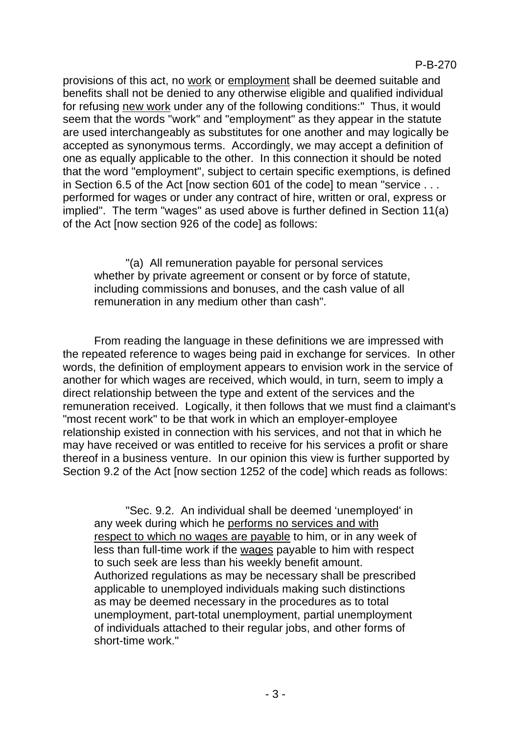provisions of this act, no work or employment shall be deemed suitable and benefits shall not be denied to any otherwise eligible and qualified individual for refusing new work under any of the following conditions:" Thus, it would seem that the words "work" and "employment" as they appear in the statute are used interchangeably as substitutes for one another and may logically be accepted as synonymous terms. Accordingly, we may accept a definition of one as equally applicable to the other. In this connection it should be noted that the word "employment", subject to certain specific exemptions, is defined in Section 6.5 of the Act [now section 601 of the code] to mean "service . . . performed for wages or under any contract of hire, written or oral, express or implied". The term "wages" as used above is further defined in Section 11(a) of the Act [now section 926 of the code] as follows:

"(a) All remuneration payable for personal services whether by private agreement or consent or by force of statute, including commissions and bonuses, and the cash value of all remuneration in any medium other than cash".

From reading the language in these definitions we are impressed with the repeated reference to wages being paid in exchange for services. In other words, the definition of employment appears to envision work in the service of another for which wages are received, which would, in turn, seem to imply a direct relationship between the type and extent of the services and the remuneration received. Logically, it then follows that we must find a claimant's "most recent work" to be that work in which an employer-employee relationship existed in connection with his services, and not that in which he may have received or was entitled to receive for his services a profit or share thereof in a business venture. In our opinion this view is further supported by Section 9.2 of the Act [now section 1252 of the code] which reads as follows:

"Sec. 9.2. An individual shall be deemed 'unemployed' in any week during which he performs no services and with respect to which no wages are payable to him, or in any week of less than full-time work if the wages payable to him with respect to such seek are less than his weekly benefit amount. Authorized regulations as may be necessary shall be prescribed applicable to unemployed individuals making such distinctions as may be deemed necessary in the procedures as to total unemployment, part-total unemployment, partial unemployment of individuals attached to their regular jobs, and other forms of short-time work."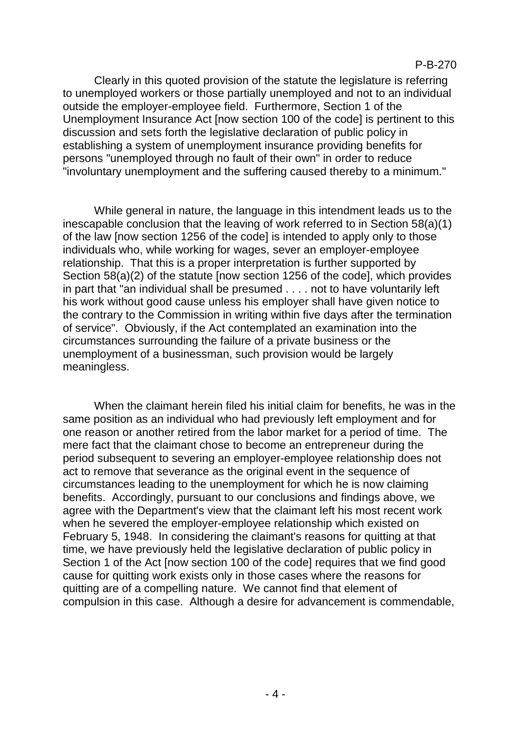Clearly in this quoted provision of the statute the legislature is referring to unemployed workers or those partially unemployed and not to an individual outside the employer-employee field. Furthermore, Section 1 of the Unemployment Insurance Act [now section 100 of the code] is pertinent to this discussion and sets forth the legislative declaration of public policy in establishing a system of unemployment insurance providing benefits for persons "unemployed through no fault of their own" in order to reduce "involuntary unemployment and the suffering caused thereby to a minimum."

While general in nature, the language in this intendment leads us to the inescapable conclusion that the leaving of work referred to in Section 58(a)(1) of the law [now section 1256 of the code] is intended to apply only to those individuals who, while working for wages, sever an employer-employee relationship. That this is a proper interpretation is further supported by Section 58(a)(2) of the statute [now section 1256 of the code], which provides in part that "an individual shall be presumed . . . . not to have voluntarily left his work without good cause unless his employer shall have given notice to the contrary to the Commission in writing within five days after the termination of service". Obviously, if the Act contemplated an examination into the circumstances surrounding the failure of a private business or the unemployment of a businessman, such provision would be largely meaningless.

When the claimant herein filed his initial claim for benefits, he was in the same position as an individual who had previously left employment and for one reason or another retired from the labor market for a period of time. The mere fact that the claimant chose to become an entrepreneur during the period subsequent to severing an employer-employee relationship does not act to remove that severance as the original event in the sequence of circumstances leading to the unemployment for which he is now claiming benefits. Accordingly, pursuant to our conclusions and findings above, we agree with the Department's view that the claimant left his most recent work when he severed the employer-employee relationship which existed on February 5, 1948. In considering the claimant's reasons for quitting at that time, we have previously held the legislative declaration of public policy in Section 1 of the Act [now section 100 of the code] requires that we find good cause for quitting work exists only in those cases where the reasons for quitting are of a compelling nature. We cannot find that element of compulsion in this case. Although a desire for advancement is commendable,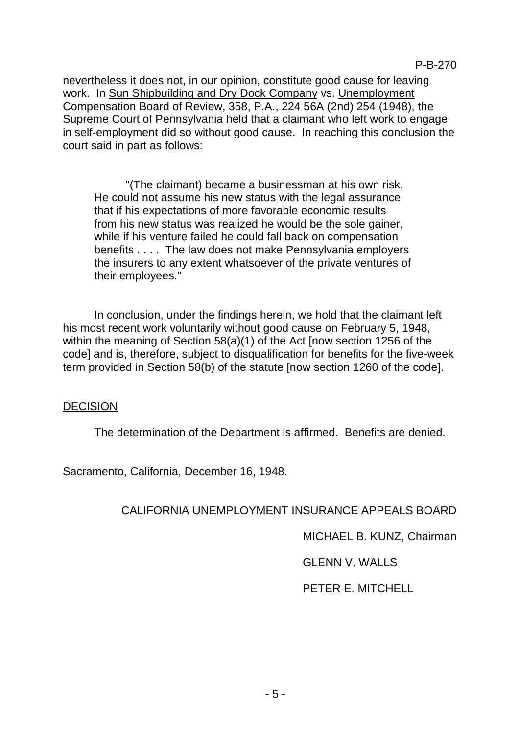nevertheless it does not, in our opinion, constitute good cause for leaving work. In Sun Shipbuilding and Dry Dock Company vs. Unemployment Compensation Board of Review, 358, P.A., 224 56A (2nd) 254 (1948), the Supreme Court of Pennsylvania held that a claimant who left work to engage in self-employment did so without good cause. In reaching this conclusion the court said in part as follows:

"(The claimant) became a businessman at his own risk. He could not assume his new status with the legal assurance that if his expectations of more favorable economic results from his new status was realized he would be the sole gainer, while if his venture failed he could fall back on compensation benefits . . . . The law does not make Pennsylvania employers the insurers to any extent whatsoever of the private ventures of their employees."

In conclusion, under the findings herein, we hold that the claimant left his most recent work voluntarily without good cause on February 5, 1948, within the meaning of Section 58(a)(1) of the Act [now section 1256 of the code] and is, therefore, subject to disqualification for benefits for the five-week term provided in Section 58(b) of the statute [now section 1260 of the code].

## DECISION

The determination of the Department is affirmed. Benefits are denied.

Sacramento, California, December 16, 1948.

## CALIFORNIA UNEMPLOYMENT INSURANCE APPEALS BOARD

MICHAEL B. KUNZ, Chairman

GLENN V. WALLS

PETER E. MITCHELL